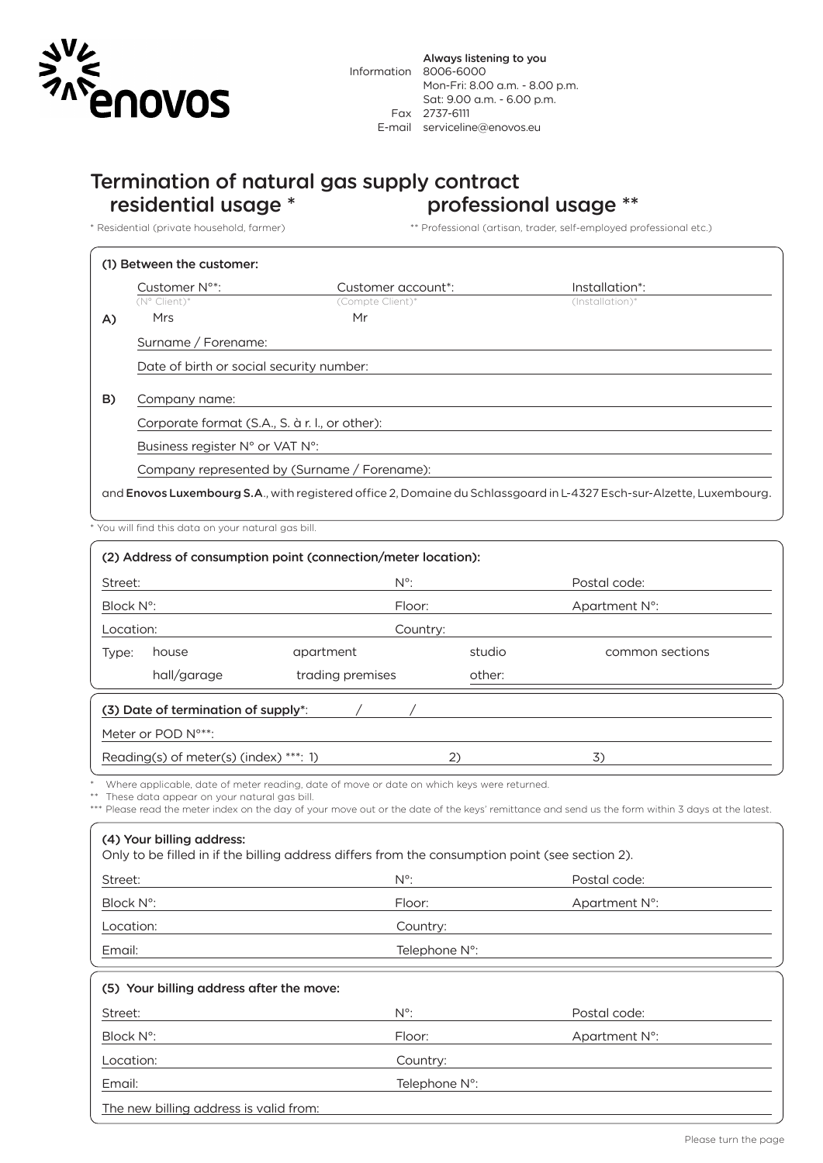

## Termination of natural gas supply contract residential usage \* professional usage \*\*

\* Residential (private household, farmer) \*\* Professional (artisan, trader, self-employed professional etc.)

|                     | Customer N <sup>o*</sup> :                                                                                                    | Customer account <sup>*</sup> : | Installation <sup>*</sup> : |  |  |  |  |
|---------------------|-------------------------------------------------------------------------------------------------------------------------------|---------------------------------|-----------------------------|--|--|--|--|
|                     | (N° Client)*                                                                                                                  | (Compte Client)*                | $(Instantation)*$           |  |  |  |  |
| A)                  | Mrs                                                                                                                           | Mr                              |                             |  |  |  |  |
|                     | Surname / Forename:                                                                                                           |                                 |                             |  |  |  |  |
|                     | Date of birth or social security number:                                                                                      |                                 |                             |  |  |  |  |
|                     |                                                                                                                               |                                 |                             |  |  |  |  |
| B)<br>Company name: |                                                                                                                               |                                 |                             |  |  |  |  |
|                     | Corporate format (S.A., S. à r. l., or other):                                                                                |                                 |                             |  |  |  |  |
|                     | Business register N° or VAT N°:                                                                                               |                                 |                             |  |  |  |  |
|                     | Company represented by (Surname / Forename):                                                                                  |                                 |                             |  |  |  |  |
|                     | and <b>Enovos Luxembourg S.A</b> ., with registered office 2, Domaine du Schlassgoard in L-4327 Esch-sur-Alzette, Luxembourg. |                                 |                             |  |  |  |  |

\* You will find this data on your natural gas bill.

| (2) Address of consumption point (connection/meter location):                                                                                                                                                                                                                                                             |                  |               |                 |  |  |  |  |
|---------------------------------------------------------------------------------------------------------------------------------------------------------------------------------------------------------------------------------------------------------------------------------------------------------------------------|------------------|---------------|-----------------|--|--|--|--|
| Street:                                                                                                                                                                                                                                                                                                                   | $N^{\circ}$ :    |               | Postal code:    |  |  |  |  |
| Block N°:                                                                                                                                                                                                                                                                                                                 | Floor:           |               | Apartment N°:   |  |  |  |  |
| Location:                                                                                                                                                                                                                                                                                                                 | Country:         |               |                 |  |  |  |  |
| house<br>Type:                                                                                                                                                                                                                                                                                                            | apartment        | studio        | common sections |  |  |  |  |
| hall/garage                                                                                                                                                                                                                                                                                                               | trading premises | other:        |                 |  |  |  |  |
| (3) Date of termination of supply*:                                                                                                                                                                                                                                                                                       |                  |               |                 |  |  |  |  |
| Meter or POD N°**:                                                                                                                                                                                                                                                                                                        |                  |               |                 |  |  |  |  |
| Reading(s) of meter(s) (index) ***: 1)                                                                                                                                                                                                                                                                                    |                  | (2)           | 3)              |  |  |  |  |
| Please read the meter index on the day of your move out or the date of the keys' remittance and send us the form within 3 days at the latest.<br>(4) Your billing address:<br>Only to be filled in if the billing address differs from the consumption point (see section 2).<br>$N^{\circ}$ :<br>Postal code:<br>Street: |                  |               |                 |  |  |  |  |
| Block N°:                                                                                                                                                                                                                                                                                                                 | Floor:           |               | Apartment N°:   |  |  |  |  |
| Location:                                                                                                                                                                                                                                                                                                                 | Country:         |               |                 |  |  |  |  |
| Email:                                                                                                                                                                                                                                                                                                                    | Telephone N°:    |               |                 |  |  |  |  |
| (5) Your billing address after the move:                                                                                                                                                                                                                                                                                  |                  |               |                 |  |  |  |  |
| Street:                                                                                                                                                                                                                                                                                                                   | $N^{\circ}$ :    |               | Postal code:    |  |  |  |  |
| Block N°:                                                                                                                                                                                                                                                                                                                 | Floor:           |               | Apartment N°:   |  |  |  |  |
| Location:                                                                                                                                                                                                                                                                                                                 | Country:         |               |                 |  |  |  |  |
| Email:                                                                                                                                                                                                                                                                                                                    |                  | Telephone N°: |                 |  |  |  |  |
| The new billing address is valid from:                                                                                                                                                                                                                                                                                    |                  |               |                 |  |  |  |  |